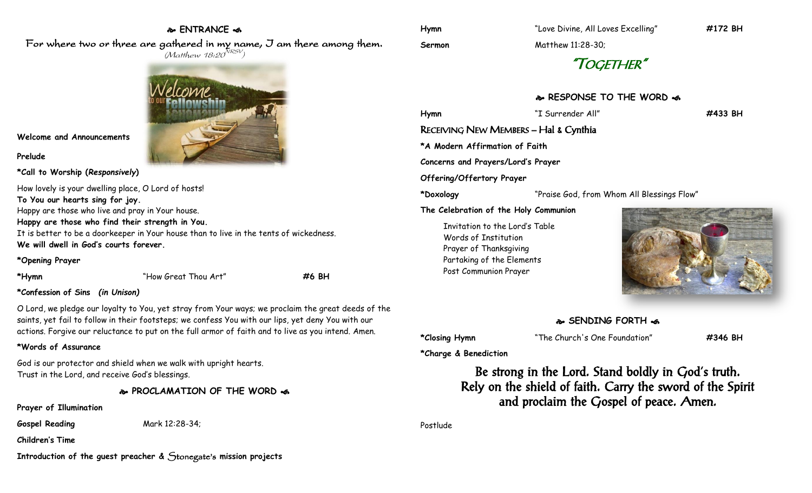# **ENTRANCE**

For where two or three are gathered in my name, I am there among them.  $(M$ atthew 18:20 $^{NRSV})$ 



**Welcome and Announcements**

#### **Prelude**

**\*Call to Worship (***Responsively***)** 

How lovely is your dwelling place, O Lord of hosts! **To You our hearts sing for joy.** Happy are those who live and pray in Your house. **Happy are those who find their strength in You.** It is better to be a doorkeeper in Your house than to live in the tents of wickedness. **We will dwell in God's courts forever.**

#### **\*Opening Prayer**

**\*Hymn** "How Great Thou Art" **#6 BH**

# **\*Confession of Sins** *(in Unison)*

O Lord, we pledge our loyalty to You, yet stray from Your ways; we proclaim the great deeds of the saints, yet fail to follow in their footsteps; we confess You with our lips, yet deny You with our actions. Forgive our reluctance to put on the full armor of faith and to live as you intend. Amen.

## **\*Words of Assurance**

God is our protector and shield when we walk with upright hearts. Trust in the Lord, and receive God's blessings.

**PROCLAMATION OF THE WORD** 

## **Prayer of Illumination**

**Gospel Reading** Mark 12:28-34;

**Children's Time**

**Introduction of the guest preacher &** Stonegate's **mission projects**

**Hymn** "Love Divine, All Loves Excelling" **#172 BH**

**Sermon** Matthew 11:28-30;

"TOGETHER"

# **RESPONSE TO THE WORD**  $\approx$

**Hymn** "I Surrender All" **#433 BH** RECEIVING NEW MEMBERS – Hal & Cynthia **\*A Modern Affirmation of Faith Concerns and Prayers/Lord's Prayer Offering/Offertory Prayer \*Doxology** "Praise God, from Whom All Blessings Flow" **The Celebration of the Holy Communion** Invitation to the Lord's Table Words of Institution Prayer of Thanksgiving Partaking of the Elements



# **SENDING FORTH**

**\*Closing Hymn** "The Church's One Foundation" **#346 BH**

**\*Charge & Benediction**

Post Communion Prayer

Be strong in the Lord. Stand boldly in God's truth. Rely on the shield of faith. Carry the sword of the Spirit and proclaim the Gospel of peace. Amen.

Postlude